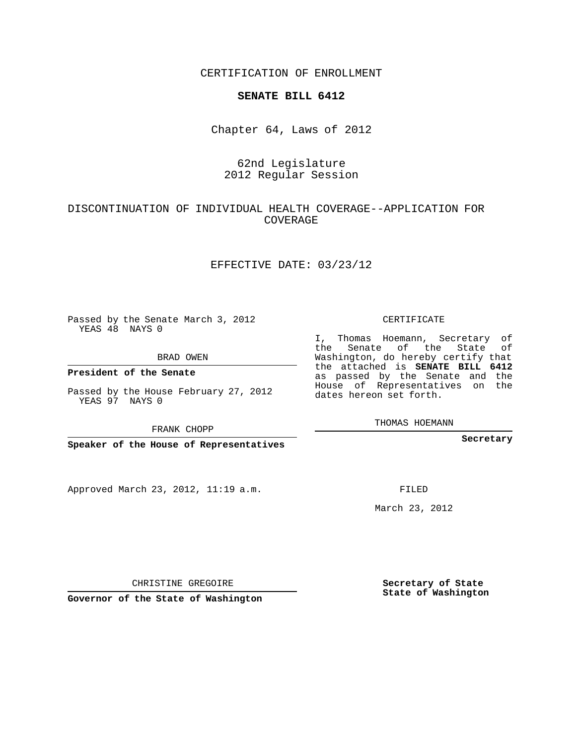CERTIFICATION OF ENROLLMENT

#### **SENATE BILL 6412**

Chapter 64, Laws of 2012

# 62nd Legislature 2012 Regular Session

## DISCONTINUATION OF INDIVIDUAL HEALTH COVERAGE--APPLICATION FOR COVERAGE

### EFFECTIVE DATE: 03/23/12

Passed by the Senate March 3, 2012 YEAS 48 NAYS 0

BRAD OWEN

**President of the Senate**

Passed by the House February 27, 2012 YEAS 97 NAYS 0

FRANK CHOPP

**Speaker of the House of Representatives**

Approved March 23, 2012, 11:19 a.m.

CERTIFICATE

I, Thomas Hoemann, Secretary of the Senate of the State of Washington, do hereby certify that the attached is **SENATE BILL 6412** as passed by the Senate and the House of Representatives on the dates hereon set forth.

THOMAS HOEMANN

**Secretary**

FILED

March 23, 2012

**Secretary of State State of Washington**

CHRISTINE GREGOIRE

**Governor of the State of Washington**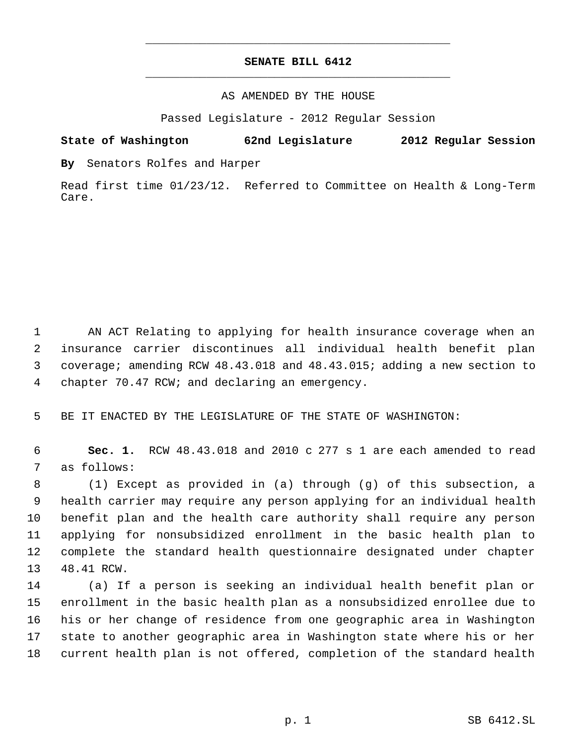# **SENATE BILL 6412** \_\_\_\_\_\_\_\_\_\_\_\_\_\_\_\_\_\_\_\_\_\_\_\_\_\_\_\_\_\_\_\_\_\_\_\_\_\_\_\_\_\_\_\_\_

\_\_\_\_\_\_\_\_\_\_\_\_\_\_\_\_\_\_\_\_\_\_\_\_\_\_\_\_\_\_\_\_\_\_\_\_\_\_\_\_\_\_\_\_\_

#### AS AMENDED BY THE HOUSE

Passed Legislature - 2012 Regular Session

## **State of Washington 62nd Legislature 2012 Regular Session**

**By** Senators Rolfes and Harper

Read first time 01/23/12. Referred to Committee on Health & Long-Term Care.

 AN ACT Relating to applying for health insurance coverage when an insurance carrier discontinues all individual health benefit plan coverage; amending RCW 48.43.018 and 48.43.015; adding a new section to chapter 70.47 RCW; and declaring an emergency.

BE IT ENACTED BY THE LEGISLATURE OF THE STATE OF WASHINGTON:

 **Sec. 1.** RCW 48.43.018 and 2010 c 277 s 1 are each amended to read as follows:

 (1) Except as provided in (a) through (g) of this subsection, a health carrier may require any person applying for an individual health benefit plan and the health care authority shall require any person applying for nonsubsidized enrollment in the basic health plan to complete the standard health questionnaire designated under chapter 48.41 RCW.

 (a) If a person is seeking an individual health benefit plan or enrollment in the basic health plan as a nonsubsidized enrollee due to his or her change of residence from one geographic area in Washington state to another geographic area in Washington state where his or her current health plan is not offered, completion of the standard health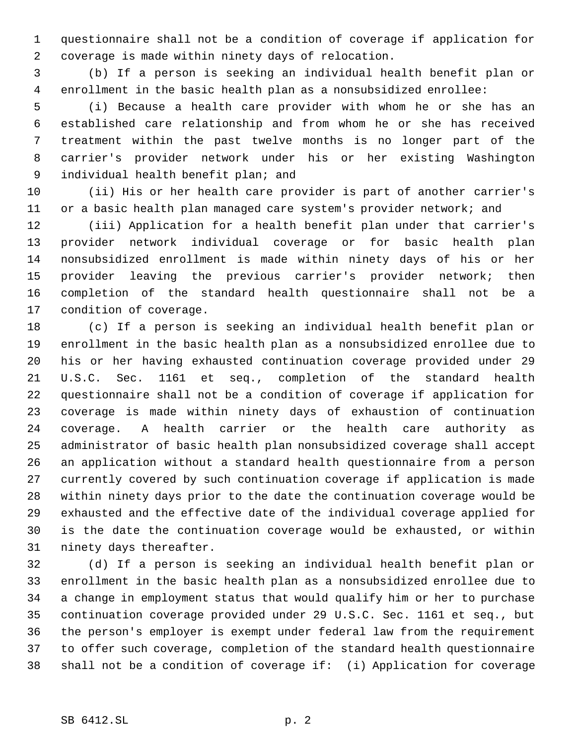questionnaire shall not be a condition of coverage if application for coverage is made within ninety days of relocation.

 (b) If a person is seeking an individual health benefit plan or enrollment in the basic health plan as a nonsubsidized enrollee:

 (i) Because a health care provider with whom he or she has an established care relationship and from whom he or she has received treatment within the past twelve months is no longer part of the carrier's provider network under his or her existing Washington individual health benefit plan; and

 (ii) His or her health care provider is part of another carrier's 11 or a basic health plan managed care system's provider network; and

 (iii) Application for a health benefit plan under that carrier's provider network individual coverage or for basic health plan nonsubsidized enrollment is made within ninety days of his or her provider leaving the previous carrier's provider network; then completion of the standard health questionnaire shall not be a condition of coverage.

 (c) If a person is seeking an individual health benefit plan or enrollment in the basic health plan as a nonsubsidized enrollee due to his or her having exhausted continuation coverage provided under 29 U.S.C. Sec. 1161 et seq., completion of the standard health questionnaire shall not be a condition of coverage if application for coverage is made within ninety days of exhaustion of continuation coverage. A health carrier or the health care authority as administrator of basic health plan nonsubsidized coverage shall accept an application without a standard health questionnaire from a person currently covered by such continuation coverage if application is made within ninety days prior to the date the continuation coverage would be exhausted and the effective date of the individual coverage applied for is the date the continuation coverage would be exhausted, or within ninety days thereafter.

 (d) If a person is seeking an individual health benefit plan or enrollment in the basic health plan as a nonsubsidized enrollee due to a change in employment status that would qualify him or her to purchase continuation coverage provided under 29 U.S.C. Sec. 1161 et seq., but the person's employer is exempt under federal law from the requirement to offer such coverage, completion of the standard health questionnaire shall not be a condition of coverage if: (i) Application for coverage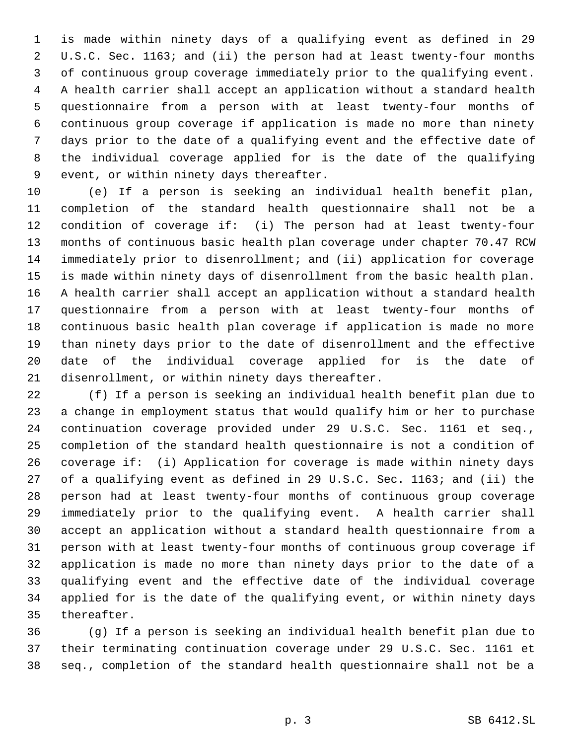is made within ninety days of a qualifying event as defined in 29 U.S.C. Sec. 1163; and (ii) the person had at least twenty-four months of continuous group coverage immediately prior to the qualifying event. A health carrier shall accept an application without a standard health questionnaire from a person with at least twenty-four months of continuous group coverage if application is made no more than ninety days prior to the date of a qualifying event and the effective date of the individual coverage applied for is the date of the qualifying event, or within ninety days thereafter.

 (e) If a person is seeking an individual health benefit plan, completion of the standard health questionnaire shall not be a condition of coverage if: (i) The person had at least twenty-four months of continuous basic health plan coverage under chapter 70.47 RCW immediately prior to disenrollment; and (ii) application for coverage is made within ninety days of disenrollment from the basic health plan. A health carrier shall accept an application without a standard health questionnaire from a person with at least twenty-four months of continuous basic health plan coverage if application is made no more than ninety days prior to the date of disenrollment and the effective date of the individual coverage applied for is the date of disenrollment, or within ninety days thereafter.

 (f) If a person is seeking an individual health benefit plan due to a change in employment status that would qualify him or her to purchase continuation coverage provided under 29 U.S.C. Sec. 1161 et seq., completion of the standard health questionnaire is not a condition of coverage if: (i) Application for coverage is made within ninety days of a qualifying event as defined in 29 U.S.C. Sec. 1163; and (ii) the person had at least twenty-four months of continuous group coverage immediately prior to the qualifying event. A health carrier shall accept an application without a standard health questionnaire from a person with at least twenty-four months of continuous group coverage if application is made no more than ninety days prior to the date of a qualifying event and the effective date of the individual coverage applied for is the date of the qualifying event, or within ninety days thereafter.

 (g) If a person is seeking an individual health benefit plan due to their terminating continuation coverage under 29 U.S.C. Sec. 1161 et seq., completion of the standard health questionnaire shall not be a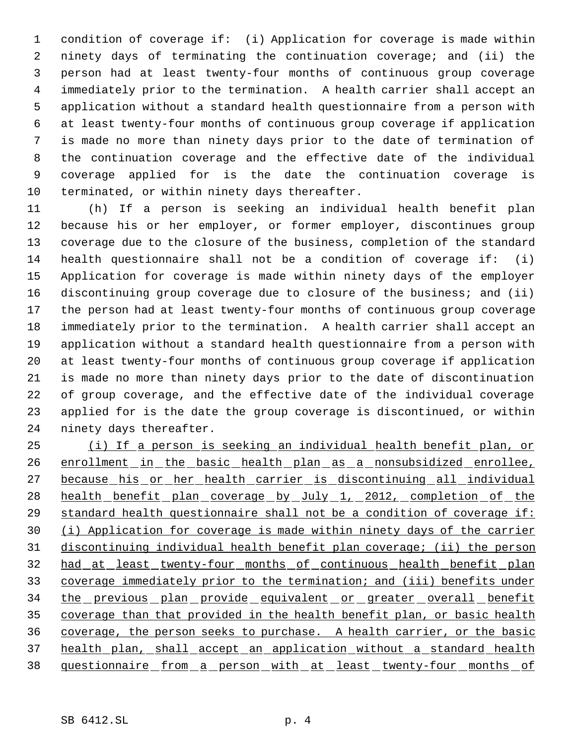condition of coverage if: (i) Application for coverage is made within ninety days of terminating the continuation coverage; and (ii) the person had at least twenty-four months of continuous group coverage immediately prior to the termination. A health carrier shall accept an application without a standard health questionnaire from a person with at least twenty-four months of continuous group coverage if application is made no more than ninety days prior to the date of termination of the continuation coverage and the effective date of the individual coverage applied for is the date the continuation coverage is terminated, or within ninety days thereafter.

 (h) If a person is seeking an individual health benefit plan because his or her employer, or former employer, discontinues group coverage due to the closure of the business, completion of the standard health questionnaire shall not be a condition of coverage if: (i) Application for coverage is made within ninety days of the employer discontinuing group coverage due to closure of the business; and (ii) the person had at least twenty-four months of continuous group coverage immediately prior to the termination. A health carrier shall accept an application without a standard health questionnaire from a person with at least twenty-four months of continuous group coverage if application is made no more than ninety days prior to the date of discontinuation of group coverage, and the effective date of the individual coverage applied for is the date the group coverage is discontinued, or within ninety days thereafter.

 (i) If a person is seeking an individual health benefit plan, or 26 enrollment in the basic health plan as a nonsubsidized enrollee, because his or her health carrier is discontinuing all individual 28 health benefit plan coverage by July 1, 2012, completion of the standard health questionnaire shall not be a condition of coverage if: (i) Application for coverage is made within ninety days of the carrier discontinuing individual health benefit plan coverage; (ii) the person had at least twenty-four months of continuous health benefit plan coverage immediately prior to the termination; and (iii) benefits under 34 the previous plan provide equivalent or greater overall benefit coverage than that provided in the health benefit plan, or basic health coverage, the person seeks to purchase. A health carrier, or the basic 37 health plan, shall accept an application without a standard health 38 questionnaire from a person with at least twenty-four months of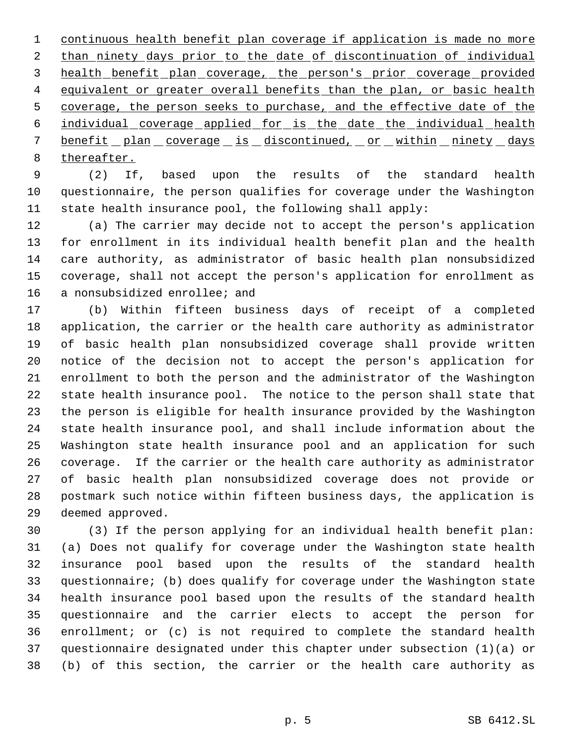continuous health benefit plan coverage if application is made no more 2 than ninety days prior to the date of discontinuation of individual health benefit plan coverage, the person's prior coverage provided 4 equivalent or greater overall benefits than the plan, or basic health 5 coverage, the person seeks to purchase, and the effective date of the individual coverage applied for is the date the individual health 7 benefit plan coverage is discontinued, or within ninety days thereafter.

 (2) If, based upon the results of the standard health questionnaire, the person qualifies for coverage under the Washington state health insurance pool, the following shall apply:

 (a) The carrier may decide not to accept the person's application for enrollment in its individual health benefit plan and the health care authority, as administrator of basic health plan nonsubsidized coverage, shall not accept the person's application for enrollment as a nonsubsidized enrollee; and

 (b) Within fifteen business days of receipt of a completed application, the carrier or the health care authority as administrator of basic health plan nonsubsidized coverage shall provide written notice of the decision not to accept the person's application for enrollment to both the person and the administrator of the Washington state health insurance pool. The notice to the person shall state that the person is eligible for health insurance provided by the Washington state health insurance pool, and shall include information about the Washington state health insurance pool and an application for such coverage. If the carrier or the health care authority as administrator of basic health plan nonsubsidized coverage does not provide or postmark such notice within fifteen business days, the application is deemed approved.

 (3) If the person applying for an individual health benefit plan: (a) Does not qualify for coverage under the Washington state health insurance pool based upon the results of the standard health questionnaire; (b) does qualify for coverage under the Washington state health insurance pool based upon the results of the standard health questionnaire and the carrier elects to accept the person for enrollment; or (c) is not required to complete the standard health questionnaire designated under this chapter under subsection (1)(a) or (b) of this section, the carrier or the health care authority as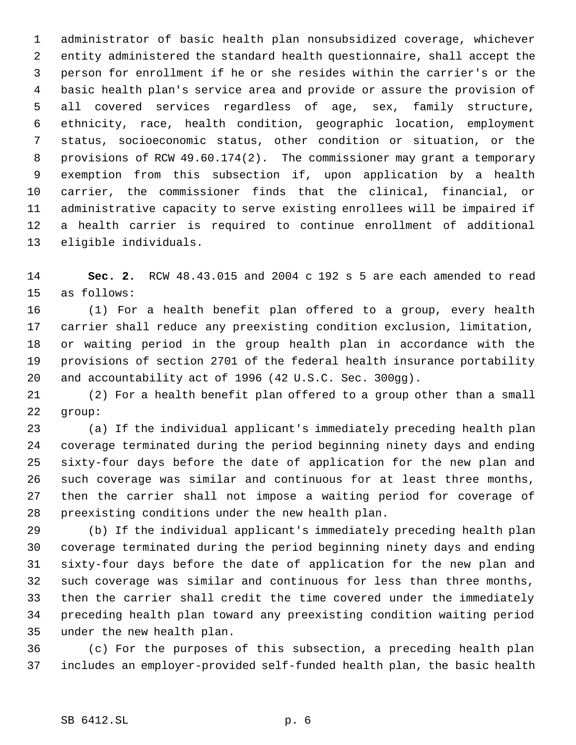administrator of basic health plan nonsubsidized coverage, whichever entity administered the standard health questionnaire, shall accept the person for enrollment if he or she resides within the carrier's or the basic health plan's service area and provide or assure the provision of all covered services regardless of age, sex, family structure, ethnicity, race, health condition, geographic location, employment status, socioeconomic status, other condition or situation, or the provisions of RCW 49.60.174(2). The commissioner may grant a temporary exemption from this subsection if, upon application by a health carrier, the commissioner finds that the clinical, financial, or administrative capacity to serve existing enrollees will be impaired if a health carrier is required to continue enrollment of additional eligible individuals.

 **Sec. 2.** RCW 48.43.015 and 2004 c 192 s 5 are each amended to read as follows:

 (1) For a health benefit plan offered to a group, every health carrier shall reduce any preexisting condition exclusion, limitation, or waiting period in the group health plan in accordance with the provisions of section 2701 of the federal health insurance portability and accountability act of 1996 (42 U.S.C. Sec. 300gg).

 (2) For a health benefit plan offered to a group other than a small group:

 (a) If the individual applicant's immediately preceding health plan coverage terminated during the period beginning ninety days and ending sixty-four days before the date of application for the new plan and such coverage was similar and continuous for at least three months, then the carrier shall not impose a waiting period for coverage of preexisting conditions under the new health plan.

 (b) If the individual applicant's immediately preceding health plan coverage terminated during the period beginning ninety days and ending sixty-four days before the date of application for the new plan and such coverage was similar and continuous for less than three months, then the carrier shall credit the time covered under the immediately preceding health plan toward any preexisting condition waiting period under the new health plan.

 (c) For the purposes of this subsection, a preceding health plan includes an employer-provided self-funded health plan, the basic health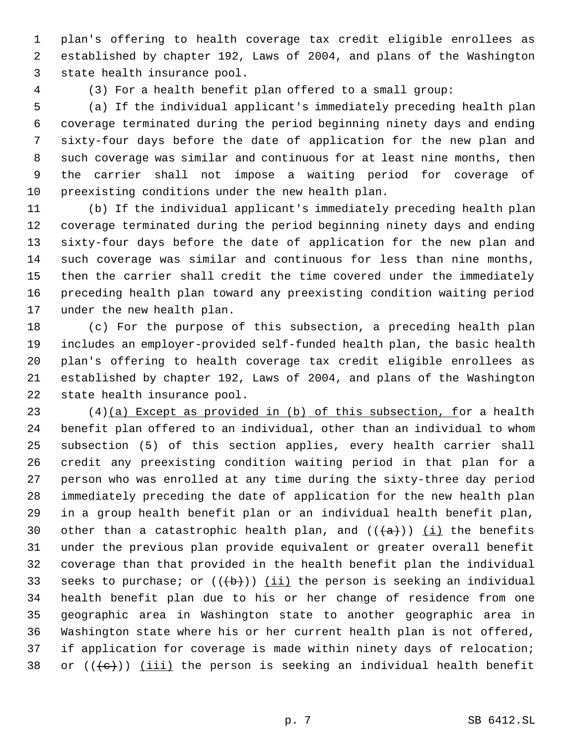plan's offering to health coverage tax credit eligible enrollees as established by chapter 192, Laws of 2004, and plans of the Washington state health insurance pool.

(3) For a health benefit plan offered to a small group:

 (a) If the individual applicant's immediately preceding health plan coverage terminated during the period beginning ninety days and ending sixty-four days before the date of application for the new plan and such coverage was similar and continuous for at least nine months, then the carrier shall not impose a waiting period for coverage of preexisting conditions under the new health plan.

 (b) If the individual applicant's immediately preceding health plan coverage terminated during the period beginning ninety days and ending sixty-four days before the date of application for the new plan and such coverage was similar and continuous for less than nine months, then the carrier shall credit the time covered under the immediately preceding health plan toward any preexisting condition waiting period under the new health plan.

 (c) For the purpose of this subsection, a preceding health plan includes an employer-provided self-funded health plan, the basic health plan's offering to health coverage tax credit eligible enrollees as established by chapter 192, Laws of 2004, and plans of the Washington state health insurance pool.

 $(4)(a)$  Except as provided in  $(b)$  of this subsection, for a health benefit plan offered to an individual, other than an individual to whom subsection (5) of this section applies, every health carrier shall credit any preexisting condition waiting period in that plan for a person who was enrolled at any time during the sixty-three day period immediately preceding the date of application for the new health plan in a group health benefit plan or an individual health benefit plan, 30 other than a catastrophic health plan, and  $((+a))$  (i) the benefits under the previous plan provide equivalent or greater overall benefit coverage than that provided in the health benefit plan the individual 33 seeks to purchase; or  $((+b))$  (ii) the person is seeking an individual health benefit plan due to his or her change of residence from one geographic area in Washington state to another geographic area in Washington state where his or her current health plan is not offered, if application for coverage is made within ninety days of relocation; 38 or  $((\langle e \rangle) )$  (iii) the person is seeking an individual health benefit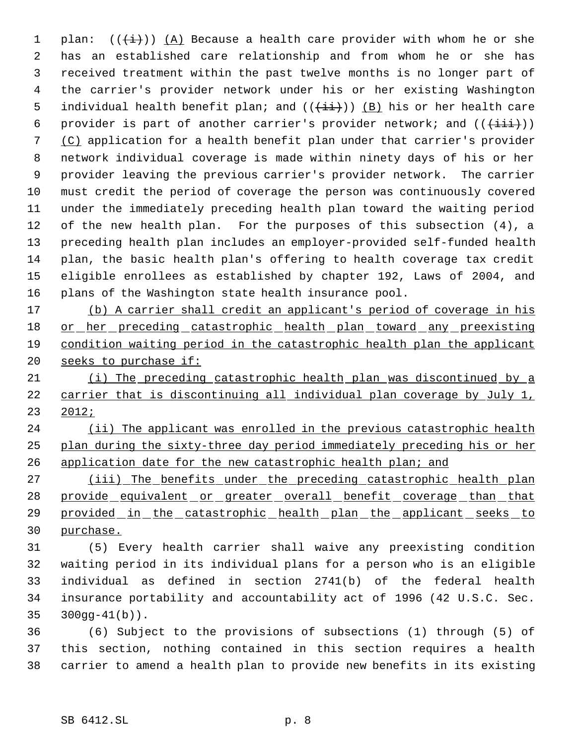1 plan:  $((\overleftrightarrow{t}))$   $(A)$  Because a health care provider with whom he or she has an established care relationship and from whom he or she has received treatment within the past twelve months is no longer part of the carrier's provider network under his or her existing Washington 5 individual health benefit plan; and  $((+i+))$  (B) his or her health care 6 provider is part of another carrier's provider network; and  $((+iii))$  (C) application for a health benefit plan under that carrier's provider network individual coverage is made within ninety days of his or her provider leaving the previous carrier's provider network. The carrier must credit the period of coverage the person was continuously covered under the immediately preceding health plan toward the waiting period of the new health plan. For the purposes of this subsection (4), a preceding health plan includes an employer-provided self-funded health plan, the basic health plan's offering to health coverage tax credit eligible enrollees as established by chapter 192, Laws of 2004, and plans of the Washington state health insurance pool.

 (b) A carrier shall credit an applicant's period of coverage in his 18 or her preceding catastrophic health plan toward any preexisting condition waiting period in the catastrophic health plan the applicant 20 seeks to purchase if:

 (i) The preceding catastrophic health plan was discontinued by a carrier that is discontinuing all individual plan coverage by July 1, 2012;

24 (ii) The applicant was enrolled in the previous catastrophic health plan during the sixty-three day period immediately preceding his or her 26 application date for the new catastrophic health plan; and

27 (iii) The benefits under the preceding catastrophic health plan 28 provide equivalent or greater overall benefit coverage than that 29 provided in the catastrophic health plan the applicant seeks to purchase.

 (5) Every health carrier shall waive any preexisting condition waiting period in its individual plans for a person who is an eligible individual as defined in section 2741(b) of the federal health insurance portability and accountability act of 1996 (42 U.S.C. Sec. 300gg-41(b)).

 (6) Subject to the provisions of subsections (1) through (5) of this section, nothing contained in this section requires a health carrier to amend a health plan to provide new benefits in its existing